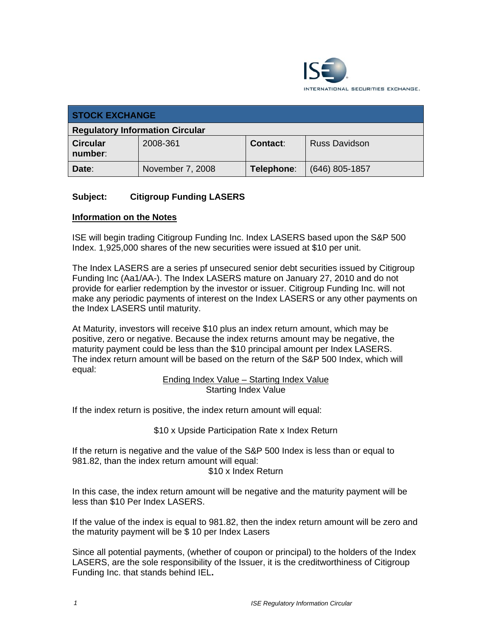

| <b>STOCK EXCHANGE</b>                  |                  |                 |                      |  |
|----------------------------------------|------------------|-----------------|----------------------|--|
| <b>Regulatory Information Circular</b> |                  |                 |                      |  |
| <b>Circular</b><br>number:             | 2008-361         | <b>Contact:</b> | <b>Russ Davidson</b> |  |
| Date:                                  | November 7, 2008 | Telephone:      | $(646)$ 805-1857     |  |

# **Subject: Citigroup Funding LASERS**

### **Information on the Notes**

ISE will begin trading Citigroup Funding Inc. Index LASERS based upon the S&P 500 Index. 1,925,000 shares of the new securities were issued at \$10 per unit.

The Index LASERS are a series pf unsecured senior debt securities issued by Citigroup Funding Inc (Aa1/AA-). The Index LASERS mature on January 27, 2010 and do not provide for earlier redemption by the investor or issuer. Citigroup Funding Inc. will not make any periodic payments of interest on the Index LASERS or any other payments on the Index LASERS until maturity.

At Maturity, investors will receive \$10 plus an index return amount, which may be positive, zero or negative. Because the index returns amount may be negative, the maturity payment could be less than the \$10 principal amount per Index LASERS. The index return amount will be based on the return of the S&P 500 Index, which will equal:

Ending Index Value – Starting Index Value Starting Index Value

If the index return is positive, the index return amount will equal:

\$10 x Upside Participation Rate x Index Return

If the return is negative and the value of the S&P 500 Index is less than or equal to 981.82, than the index return amount will equal: \$10 x Index Return

In this case, the index return amount will be negative and the maturity payment will be less than \$10 Per Index LASERS.

If the value of the index is equal to 981.82, then the index return amount will be zero and the maturity payment will be \$ 10 per Index Lasers

Since all potential payments, (whether of coupon or principal) to the holders of the Index LASERS, are the sole responsibility of the Issuer, it is the creditworthiness of Citigroup Funding Inc. that stands behind IEL**.**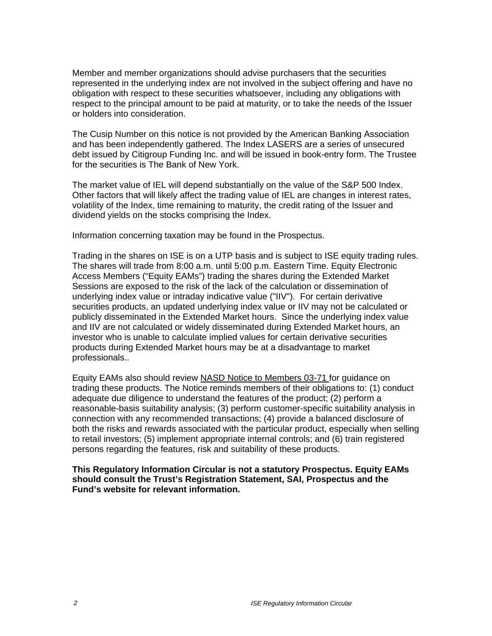Member and member organizations should advise purchasers that the securities represented in the underlying index are not involved in the subject offering and have no obligation with respect to these securities whatsoever, including any obligations with respect to the principal amount to be paid at maturity, or to take the needs of the Issuer or holders into consideration.

The Cusip Number on this notice is not provided by the American Banking Association and has been independently gathered. The Index LASERS are a series of unsecured debt issued by Citigroup Funding Inc. and will be issued in book-entry form. The Trustee for the securities is The Bank of New York.

The market value of IEL will depend substantially on the value of the S&P 500 Index. Other factors that will likely affect the trading value of IEL are changes in interest rates, volatility of the Index, time remaining to maturity, the credit rating of the Issuer and dividend yields on the stocks comprising the Index.

Information concerning taxation may be found in the Prospectus.

Trading in the shares on ISE is on a UTP basis and is subject to ISE equity trading rules. The shares will trade from 8:00 a.m. until 5:00 p.m. Eastern Time. Equity Electronic Access Members ("Equity EAMs") trading the shares during the Extended Market Sessions are exposed to the risk of the lack of the calculation or dissemination of underlying index value or intraday indicative value ("IIV"). For certain derivative securities products, an updated underlying index value or IIV may not be calculated or publicly disseminated in the Extended Market hours. Since the underlying index value and IIV are not calculated or widely disseminated during Extended Market hours, an investor who is unable to calculate implied values for certain derivative securities products during Extended Market hours may be at a disadvantage to market professionals..

Equity EAMs also should review NASD Notice to Members 03-71 for guidance on trading these products. The Notice reminds members of their obligations to: (1) conduct adequate due diligence to understand the features of the product; (2) perform a reasonable-basis suitability analysis; (3) perform customer-specific suitability analysis in connection with any recommended transactions; (4) provide a balanced disclosure of both the risks and rewards associated with the particular product, especially when selling to retail investors; (5) implement appropriate internal controls; and (6) train registered persons regarding the features, risk and suitability of these products.

**This Regulatory Information Circular is not a statutory Prospectus. Equity EAMs should consult the Trust's Registration Statement, SAI, Prospectus and the Fund's website for relevant information.**